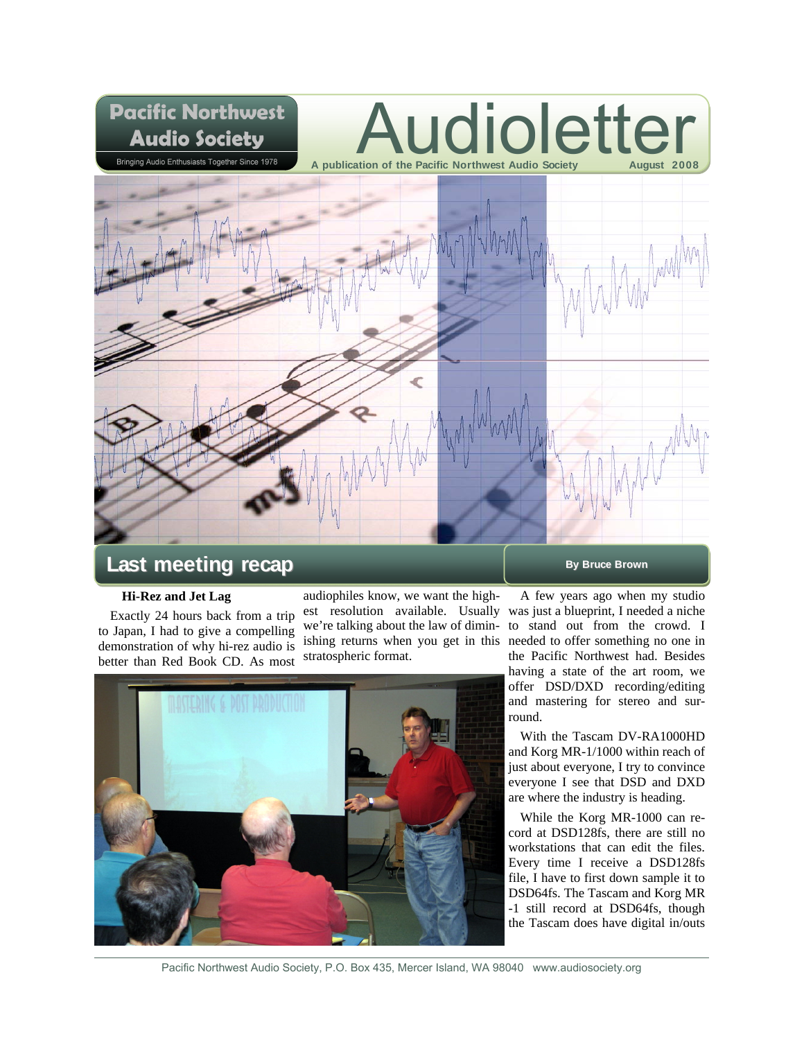

# **Last meeting recap By Bruce Brown**

# **Hi-Rez and Jet Lag**

Exactly 24 hours back from a trip to Japan, I had to give a compelling demonstration of why hi-rez audio is better than Red Book CD. As most

audiophiles know, we want the highest resolution available. Usually was just a blueprint, I needed a niche we're talking about the law of dimin-to stand out from the crowd. I ishing returns when you get in this needed to offer something no one in stratospheric format.



A few years ago when my studio the Pacific Northwest had. Besides having a state of the art room, we offer DSD/DXD recording/editing and mastering for stereo and surround.

With the Tascam DV-RA1000HD and Korg MR-1/1000 within reach of just about everyone, I try to convince everyone I see that DSD and DXD are where the industry is heading.

While the Korg MR-1000 can record at DSD128fs, there are still no workstations that can edit the files. Every time I receive a DSD128fs file, I have to first down sample it to DSD64fs. The Tascam and Korg MR -1 still record at DSD64fs, though the Tascam does have digital in/outs

Pacific Northwest Audio Society, P.O. Box 435, Mercer Island, WA 98040 www.audiosociety.org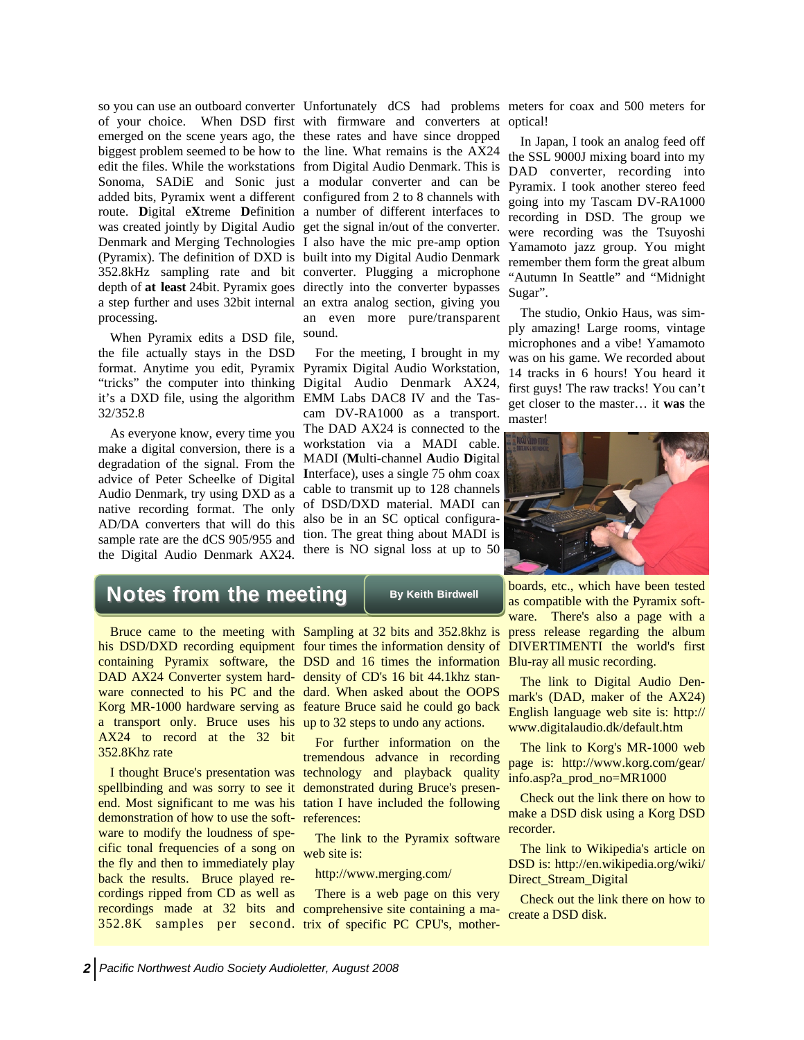processing.

When Pyramix edits a DSD file, the file actually stays in the DSD format. Anytime you edit, Pyramix it's a DXD file, using the algorithm EMM Labs DAC8 IV and the Tas-32/352.8

As everyone know, every time you make a digital conversion, there is a degradation of the signal. From the advice of Peter Scheelke of Digital Audio Denmark, try using DXD as a native recording format. The only AD/DA converters that will do this sample rate are the dCS 905/955 and the Digital Audio Denmark AX24.

so you can use an outboard converter Unfortunately dCS had problems meters for coax and 500 meters for of your choice. When DSD first with firmware and converters at optical! emerged on the scene years ago, the these rates and have since dropped biggest problem seemed to be how to the line. What remains is the AX24 edit the files. While the workstations from Digital Audio Denmark. This is Sonoma, SADiE and Sonic just a modular converter and can be added bits, Pyramix went a different configured from 2 to 8 channels with route. **D**igital e**X**treme **D**efinition a number of different interfaces to was created jointly by Digital Audio get the signal in/out of the converter. Denmark and Merging Technologies I also have the mic pre-amp option (Pyramix). The definition of DXD is built into my Digital Audio Denmark 352.8kHz sampling rate and bit converter. Plugging a microphone depth of **at least** 24bit. Pyramix goes directly into the converter bypasses a step further and uses 32bit internal an extra analog section, giving you an even more pure/transparent sound.

"tricks" the computer into thinking Digital Audio Denmark AX24, For the meeting, I brought in my Pyramix Digital Audio Workstation, cam DV-RA1000 as a transport. The DAD AX24 is connected to the workstation via a MADI cable. MADI (**M**ulti-channel **A**udio **D**igital **I**nterface), uses a single 75 ohm coax cable to transmit up to 128 channels of DSD/DXD material. MADI can also be in an SC optical configuration. The great thing about MADI is there is NO signal loss at up to 50

In Japan, I took an analog feed off the SSL 9000J mixing board into my DAD converter, recording into Pyramix. I took another stereo feed going into my Tascam DV-RA1000 recording in DSD. The group we were recording was the Tsuyoshi Yamamoto jazz group. You might remember them form the great album "Autumn In Seattle" and "Midnight Sugar".

The studio, Onkio Haus, was simply amazing! Large rooms, vintage microphones and a vibe! Yamamoto was on his game. We recorded about 14 tracks in 6 hours! You heard it first guys! The raw tracks! You can't get closer to the master… it **was** the master!



# $\mathsf{Notes}$  from the meeting  $\parallel$  By Keith Birdwell

a transport only. Bruce uses his up to 32 steps to undo any actions. AX24 to record at the 32 bit 352.8Khz rate

demonstration of how to use the software to modify the loudness of specific tonal frequencies of a song on the fly and then to immediately play back the results. Bruce played recordings ripped from CD as well as

Bruce came to the meeting with Sampling at 32 bits and 352.8khz is his DSD/DXD recording equipment four times the information density of DIVERTIMENTI the world's first containing Pyramix software, the DSD and 16 times the information Blu-ray all music recording. DAD AX24 Converter system hard-density of CD's 16 bit 44.1khz stanware connected to his PC and the dard. When asked about the OOPS Korg MR-1000 hardware serving as feature Bruce said he could go back

I thought Bruce's presentation was technology and playback quality spellbinding and was sorry to see it demonstrated during Bruce's presenend. Most significant to me was his tation I have included the following For further information on the tremendous advance in recording references:

> The link to the Pyramix software web site is:

http://www.merging.com/

recordings made at 32 bits and comprehensive site containing a ma-352.8K samples per second. trix of specific PC CPU's, mother-There is a web page on this very

boards, etc., which have been tested as compatible with the Pyramix software. There's also a page with a press release regarding the album

The link to Digital Audio Denmark's (DAD, maker of the AX24) English language web site is: http:// www.digitalaudio.dk/default.htm

The link to Korg's MR-1000 web page is: http://www.korg.com/gear/ info.asp?a\_prod\_no=MR1000

Check out the link there on how to make a DSD disk using a Korg DSD recorder.

The link to Wikipedia's article on DSD is: http://en.wikipedia.org/wiki/ Direct\_Stream\_Digital

Check out the link there on how to create a DSD disk.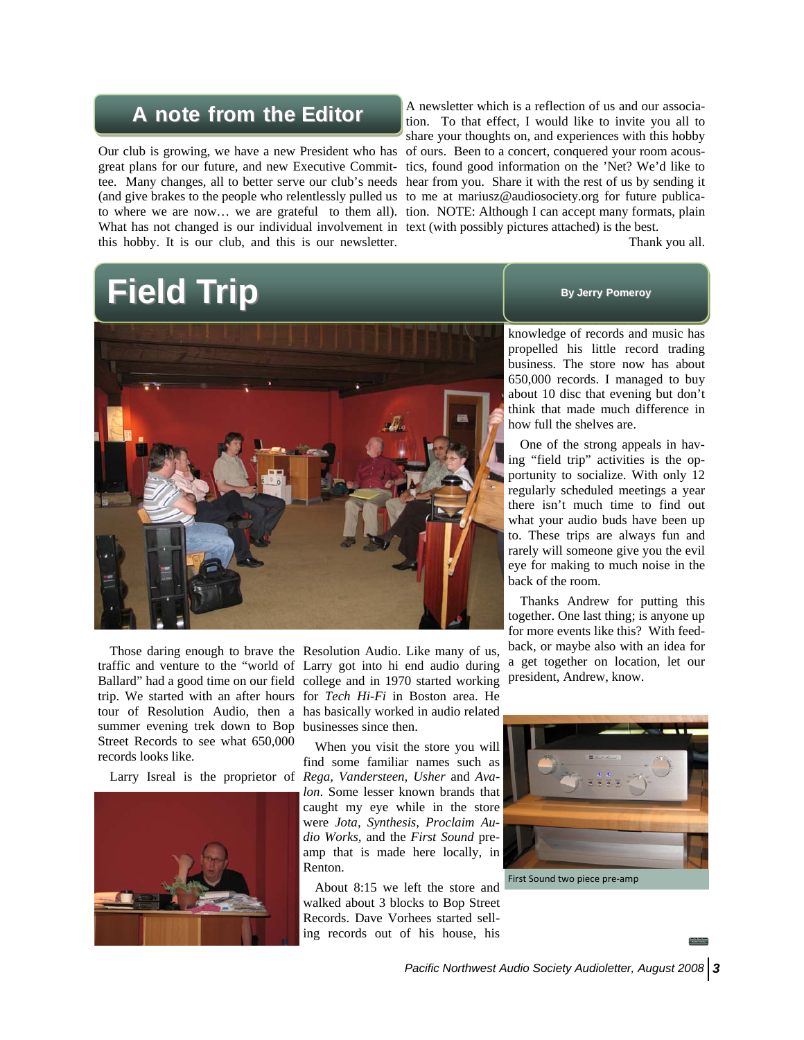# **A note from the Editor A note from the Editor**

Our club is growing, we have a new President who has (and give brakes to the people who relentlessly pulled us to me at mariusz@audiosociety.org for future publica-What has not changed is our individual involvement in text (with possibly pictures attached) is the best. this hobby. It is our club, and this is our newsletter.

great plans for our future, and new Executive Commit-tics, found good information on the 'Net? We'd like to tee. Many changes, all to better serve our club's needs hear from you. Share it with the rest of us by sending it to where we are now… we are grateful to them all). tion. NOTE: Although I can accept many formats, plain A newsletter which is a reflection of us and our association. To that effect, I would like to invite you all to share your thoughts on, and experiences with this hobby of ours. Been to a concert, conquered your room acous-

Thank you all.

# **Field Trip Field Trip By Jerry Pomeroy**



summer evening trek down to Bop businesses since then. Street Records to see what 650,000 records looks like.



Those daring enough to brave the Resolution Audio. Like many of us, traffic and venture to the "world of Larry got into hi end audio during Ballard" had a good time on our field college and in 1970 started working trip. We started with an after hours for *Tech Hi-Fi* in Boston area. He tour of Resolution Audio, then a has basically worked in audio related

Larry Isreal is the proprietor of *Rega, Vandersteen, Usher* and *Ava-*When you visit the store you will find some familiar names such as *lon*. Some lesser known brands that caught my eye while in the store were *Jota, Synthesis*, *Proclaim Audio Works,* and the *First Sound* preamp that is made here locally, in Renton.

> About 8:15 we left the store and walked about 3 blocks to Bop Street Records. Dave Vorhees started selling records out of his house, his



knowledge of records and music has propelled his little record trading business. The store now has about 650,000 records. I managed to buy about 10 disc that evening but don't think that made much difference in how full the shelves are.

One of the strong appeals in having "field trip" activities is the opportunity to socialize. With only 12 regularly scheduled meetings a year there isn't much time to find out what your audio buds have been up to. These trips are always fun and rarely will someone give you the evil eye for making to much noise in the back of the room.

Thanks Andrew for putting this together. One last thing; is anyone up for more events like this? With feedback, or maybe also with an idea for a get together on location, let our president, Andrew, know.

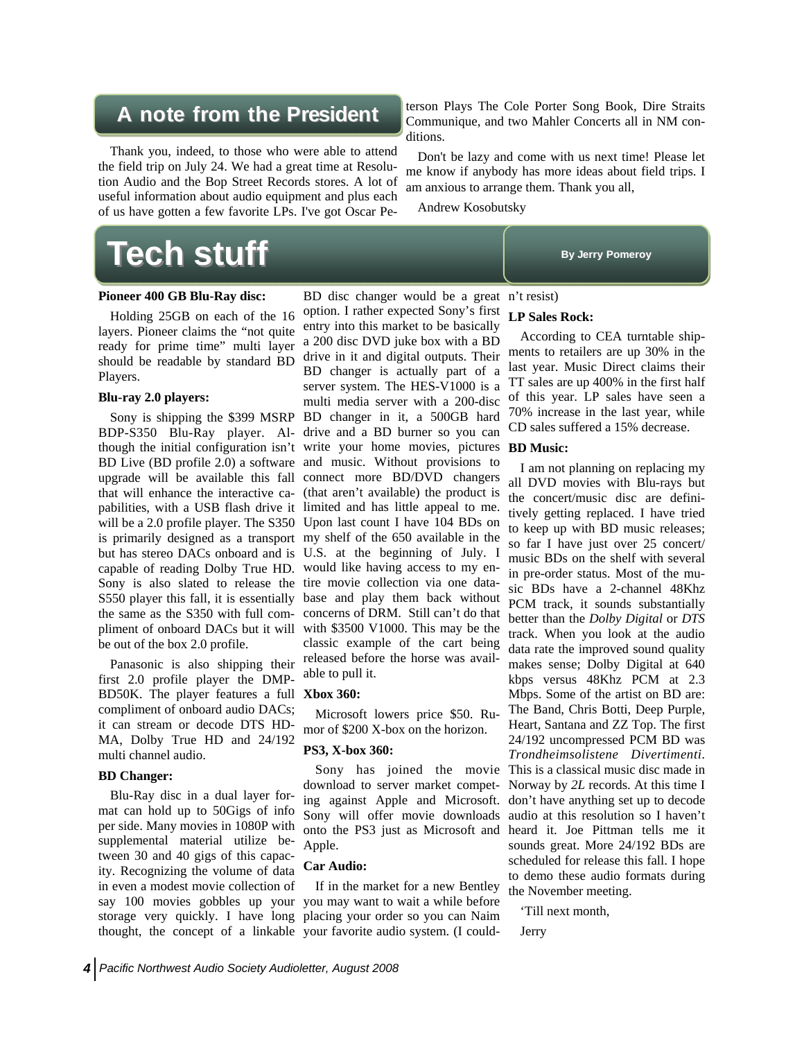# **A note from the President A note from the President**

Thank you, indeed, to those who were able to attend the field trip on July 24. We had a great time at Resolution Audio and the Bop Street Records stores. A lot of useful information about audio equipment and plus each of us have gotten a few favorite LPs. I've got Oscar Pe-

terson Plays The Cole Porter Song Book, Dire Straits Communique, and two Mahler Concerts all in NM conditions.

Don't be lazy and come with us next time! Please let me know if anybody has more ideas about field trips. I am anxious to arrange them. Thank you all,

Andrew Kosobutsky

# **Tech stuff Tech stuff By Jerry Pomeroy**

# **Pioneer 400 GB Blu-Ray disc:**

Holding 25GB on each of the 16 layers. Pioneer claims the "not quite ready for prime time" multi layer should be readable by standard BD Players.

# **Blu-ray 2.0 players:**

capable of reading Dolby True HD. would like having access to my en-Sony is also slated to release the tire movie collection via one databe out of the box 2.0 profile.

Panasonic is also shipping their first 2.0 profile player the DMP-BD50K. The player features a full **Xbox 360:** compliment of onboard audio DACs; it can stream or decode DTS HD-MA, Dolby True HD and 24/192 multi channel audio.

## **BD Changer:**

Blu-Ray disc in a dual layer format can hold up to 50Gigs of info per side. Many movies in 1080P with supplemental material utilize between 30 and 40 gigs of this capacity. Recognizing the volume of data in even a modest movie collection of

Sony is shipping the \$399 MSRP BD changer in it, a 500GB hard BDP-S350 Blu-Ray player. Al-drive and a BD burner so you can though the initial configuration isn't write your home movies, pictures **BD Music:**  BD Live (BD profile 2.0) a software and music. Without provisions to upgrade will be available this fall connect more BD/DVD changers that will enhance the interactive ca-(that aren't available) the product is pabilities, with a USB flash drive it limited and has little appeal to me. will be a 2.0 profile player. The S350 Upon last count I have 104 BDs on is primarily designed as a transport my shelf of the 650 available in the but has stereo DACs onboard and is U.S. at the beginning of July. I S550 player this fall, it is essentially base and play them back without the same as the S350 with full com-concerns of DRM. Still can't do that pliment of onboard DACs but it will with \$3500 V1000. This may be the BD disc changer would be a great n't resist) option. I rather expected Sony's first entry into this market to be basically a 200 disc DVD juke box with a BD drive in it and digital outputs. Their BD changer is actually part of a server system. The HES-V1000 is a multi media server with a 200-disc classic example of the cart being released before the horse was available to pull it.

Microsoft lowers price \$50. Rumor of \$200 X-box on the horizon.

## **PS3, X-box 360:**

download to server market competing against Apple and Microsoft. Sony will offer movie downloads onto the PS3 just as Microsoft and heard it. Joe Pittman tells me it Apple.

### **Car Audio:**

say 100 movies gobbles up your you may want to wait a while before storage very quickly. I have long placing your order so you can Naim thought, the concept of a linkable your favorite audio system. (I could-If in the market for a new Bentley

# **LP Sales Rock:**

According to CEA turntable shipments to retailers are up 30% in the last year. Music Direct claims their TT sales are up 400% in the first half of this year. LP sales have seen a 70% increase in the last year, while CD sales suffered a 15% decrease.

Sony has joined the movie This is a classical music disc made in I am not planning on replacing my all DVD movies with Blu-rays but the concert/music disc are definitively getting replaced. I have tried to keep up with BD music releases; so far I have just over 25 concert/ music BDs on the shelf with several in pre-order status. Most of the music BDs have a 2-channel 48Khz PCM track, it sounds substantially better than the *Dolby Digital* or *DTS* track. When you look at the audio data rate the improved sound quality makes sense; Dolby Digital at 640 kbps versus 48Khz PCM at 2.3 Mbps. Some of the artist on BD are: The Band, Chris Botti, Deep Purple, Heart, Santana and ZZ Top. The first 24/192 uncompressed PCM BD was *Trondheimsolistene Divertimenti*. Norway by *2L* records. At this time I don't have anything set up to decode audio at this resolution so I haven't sounds great. More 24/192 BDs are scheduled for release this fall. I hope to demo these audio formats during the November meeting.

'Till next month,

### Jerry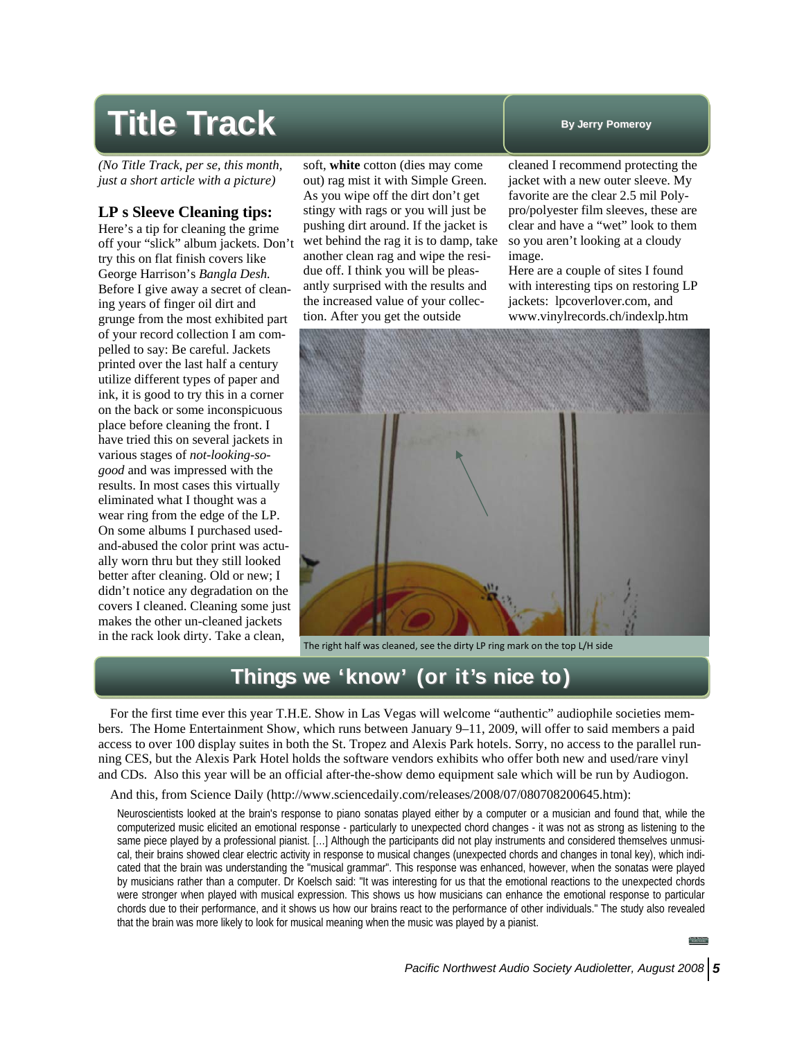# **Title Track Title Track By Jerry Pomeroy**

*(No Title Track, per se, this month, just a short article with a picture)* 

# **LP s Sleeve Cleaning tips:**

Here's a tip for cleaning the grime off your "slick" album jackets. Don't try this on flat finish covers like George Harrison's *Bangla Desh.* Before I give away a secret of cleaning years of finger oil dirt and grunge from the most exhibited part of your record collection I am compelled to say: Be careful. Jackets printed over the last half a century utilize different types of paper and ink, it is good to try this in a corner on the back or some inconspicuous place before cleaning the front. I have tried this on several jackets in various stages of *not-looking-sogood* and was impressed with the results. In most cases this virtually eliminated what I thought was a wear ring from the edge of the LP. On some albums I purchased usedand-abused the color print was actually worn thru but they still looked better after cleaning. Old or new; I didn't notice any degradation on the covers I cleaned. Cleaning some just makes the other un-cleaned jackets in the rack look dirty. Take a clean,

soft, **white** cotton (dies may come out) rag mist it with Simple Green. As you wipe off the dirt don't get stingy with rags or you will just be pushing dirt around. If the jacket is wet behind the rag it is to damp, take another clean rag and wipe the residue off. I think you will be pleasantly surprised with the results and the increased value of your collection. After you get the outside

cleaned I recommend protecting the jacket with a new outer sleeve. My favorite are the clear 2.5 mil Polypro/polyester film sleeves, these are clear and have a "wet" look to them so you aren't looking at a cloudy image.

Here are a couple of sites I found with interesting tips on restoring LP jackets: lpcoverlover.com, and www.vinylrecords.ch/indexlp.htm



The right half was cleaned, see the dirty LP ring mark on the top L/H side

# **Things we 'know' (or it's nice to) Things we 'know' (or it's nice to)**

For the first time ever this year T.H.E. Show in Las Vegas will welcome "authentic" audiophile societies members. The Home Entertainment Show, which runs between January 9–11, 2009, will offer to said members a paid access to over 100 display suites in both the St. Tropez and Alexis Park hotels. Sorry, no access to the parallel running CES, but the Alexis Park Hotel holds the software vendors exhibits who offer both new and used/rare vinyl and CDs. Also this year will be an official after-the-show demo equipment sale which will be run by Audiogon.

# And this, from Science Daily (http://www.sciencedaily.com/releases/2008/07/080708200645.htm):

Neuroscientists looked at the brain's response to piano sonatas played either by a computer or a musician and found that, while the computerized music elicited an emotional response - particularly to unexpected chord changes - it was not as strong as listening to the same piece played by a professional pianist. […] Although the participants did not play instruments and considered themselves unmusical, their brains showed clear electric activity in response to musical changes (unexpected chords and changes in tonal key), which indicated that the brain was understanding the "musical grammar". This response was enhanced, however, when the sonatas were played by musicians rather than a computer. Dr Koelsch said: "It was interesting for us that the emotional reactions to the unexpected chords were stronger when played with musical expression. This shows us how musicians can enhance the emotional response to particular chords due to their performance, and it shows us how our brains react to the performance of other individuals." The study also revealed that the brain was more likely to look for musical meaning when the music was played by a pianist.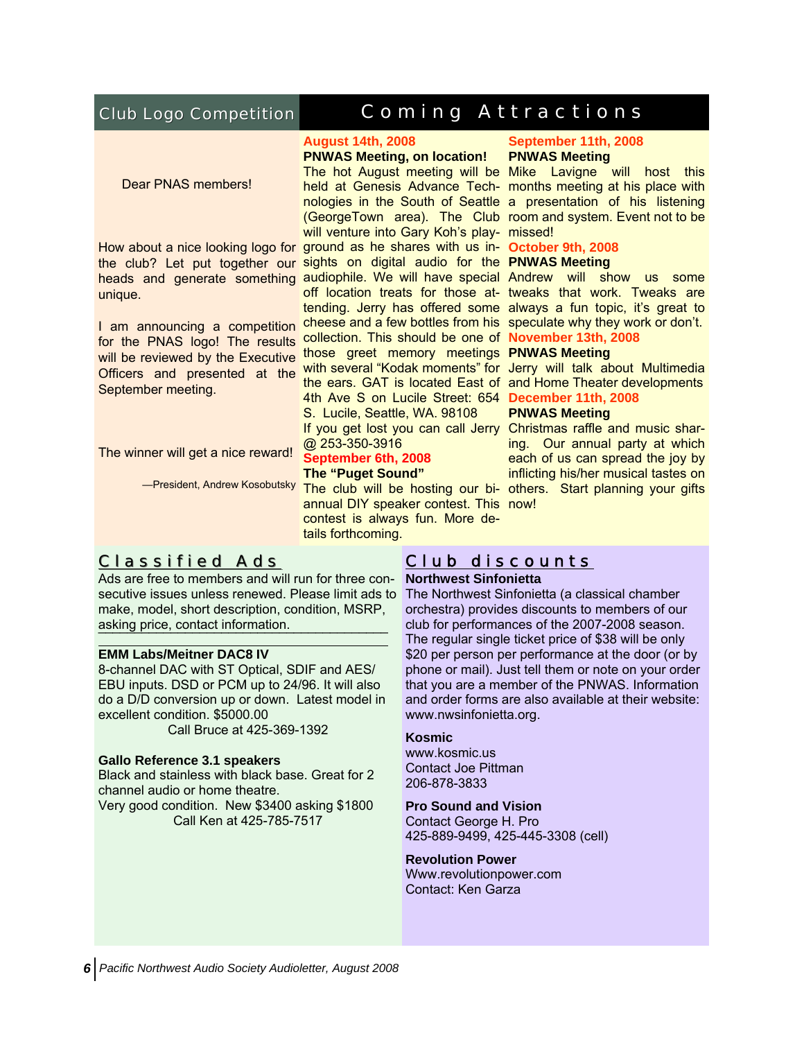# Club Logo Competition

# Coming Attractions Coming Attractions

Dear PNAS members!

unique.

for the PNAS logo! The results will be reviewed by the Executive Officers and presented at the September meeting.

The winner will get a nice reward!

# **August 14th, 2008**

# **PNWAS Meeting, on location!**

The hot August meeting will be Mike Lavigne will host this held at Genesis Advance Tech-months meeting at his place with nologies in the South of Seattle a presentation of his listening (GeorgeTown area). The Club room and system. Event not to be will venture into Gary Koh's play- missed! How about a nice looking logo for ground as he shares with us in- October 9th, 2008 the club? Let put together our sights on digital audio for the PNWAS Meeting heads and generate something audiophile. We will have special Andrew will show us some off location treats for those at- tweaks that work. Tweaks are tending. Jerry has offered some always a fun topic, it's great to I am announcing a competition cheese and a few bottles from his speculate why they work or don't. collection. This should be one of **November 13th, 2008**  those greet memory meetings **PNWAS Meeting**  with several "Kodak moments" for Jerry will talk about Multimedia the ears. GAT is located East of and Home Theater developments 4th Ave S on Lucile Street: 654 **December 11th, 2008**  S. Lucile, Seattle, WA. 98108

@ 253-350-3916

# **September 6th, 2008**

# **The "Puget Sound"**

annual DIY speaker contest. This now! contest is always fun. More details forthcoming.

# Classified Ads Classified Ads

Ads are free to members and will run for three con-**Northwest Sinfonietta**  secutive issues unless renewed. Please limit ads to The Northwest Sinfonietta (a classical chamber make, model, short description, condition, MSRP, asking price, contact information.

¯¯¯¯¯¯¯¯¯¯¯¯¯¯¯¯¯¯¯¯¯¯¨¯¯¨¯¨¯¨¯¨

# **EMM Labs/Meitner DAC8 IV**

8-channel DAC with ST Optical, SDIF and AES/ EBU inputs. DSD or PCM up to 24/96. It will also do a D/D conversion up or down. Latest model in excellent condition. \$5000.00

Call Bruce at 425-369-1392

# **Gallo Reference 3.1 speakers**

Black and stainless with black base. Great for 2 channel audio or home theatre. Very good condition. New \$3400 asking \$1800

Call Ken at 425-785-7517

# **September 11th, 2008 PNWAS Meeting**

# **PNWAS Meeting**

If you get lost you can call Jerry Christmas raffle and music shar--President, Andrew Kosobutsky The club will be hosting our bi- others. Start planning your gifts ing. Our annual party at which each of us can spread the joy by inflicting his/her musical tastes on

# Club discounts

orchestra) provides discounts to members of our club for performances of the 2007-2008 season. The regular single ticket price of \$38 will be only \$20 per person per performance at the door (or by phone or mail). Just tell them or note on your order that you are a member of the PNWAS. Information and order forms are also available at their website: www.nwsinfonietta.org.

### **Kosmic**

www.kosmic.us Contact Joe Pittman 206-878-3833

# **Pro Sound and Vision**

Contact George H. Pro 425-889-9499, 425-445-3308 (cell)

# **Revolution Power**

Www.revolutionpower.com Contact: Ken Garza